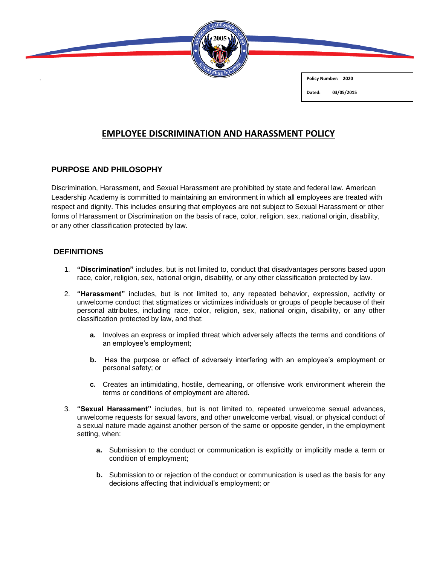

**Policy Number: 2020**

#### **Dated: 03/05/2015**

# **EMPLOYEE DISCRIMINATION AND HARASSMENT POLICY**

# **PURPOSE AND PHILOSOPHY**

Discrimination, Harassment, and Sexual Harassment are prohibited by state and federal law. American Leadership Academy is committed to maintaining an environment in which all employees are treated with respect and dignity. This includes ensuring that employees are not subject to Sexual Harassment or other forms of Harassment or Discrimination on the basis of race, color, religion, sex, national origin, disability, or any other classification protected by law.

# **DEFINITIONS**

- 1. **"Discrimination"** includes, but is not limited to, conduct that disadvantages persons based upon race, color, religion, sex, national origin, disability, or any other classification protected by law.
- 2. **"Harassment"** includes, but is not limited to, any repeated behavior, expression, activity or unwelcome conduct that stigmatizes or victimizes individuals or groups of people because of their personal attributes, including race, color, religion, sex, national origin, disability, or any other classification protected by law, and that:
	- **a.** Involves an express or implied threat which adversely affects the terms and conditions of an employee's employment;
	- **b.** Has the purpose or effect of adversely interfering with an employee's employment or personal safety; or
	- **c.** Creates an intimidating, hostile, demeaning, or offensive work environment wherein the terms or conditions of employment are altered.
- 3. **"Sexual Harassment"** includes, but is not limited to, repeated unwelcome sexual advances, unwelcome requests for sexual favors, and other unwelcome verbal, visual, or physical conduct of a sexual nature made against another person of the same or opposite gender, in the employment setting, when:
	- **a.** Submission to the conduct or communication is explicitly or implicitly made a term or condition of employment;
	- **b.** Submission to or rejection of the conduct or communication is used as the basis for any decisions affecting that individual's employment; or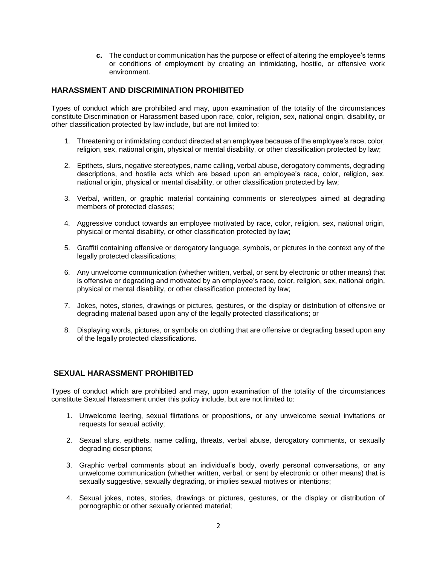**c.** The conduct or communication has the purpose or effect of altering the employee's terms or conditions of employment by creating an intimidating, hostile, or offensive work environment.

## **HARASSMENT AND DISCRIMINATION PROHIBITED**

Types of conduct which are prohibited and may, upon examination of the totality of the circumstances constitute Discrimination or Harassment based upon race, color, religion, sex, national origin, disability, or other classification protected by law include, but are not limited to:

- 1. Threatening or intimidating conduct directed at an employee because of the employee's race, color, religion, sex, national origin, physical or mental disability, or other classification protected by law;
- 2. Epithets, slurs, negative stereotypes, name calling, verbal abuse, derogatory comments, degrading descriptions, and hostile acts which are based upon an employee's race, color, religion, sex, national origin, physical or mental disability, or other classification protected by law;
- 3. Verbal, written, or graphic material containing comments or stereotypes aimed at degrading members of protected classes;
- 4. Aggressive conduct towards an employee motivated by race, color, religion, sex, national origin, physical or mental disability, or other classification protected by law;
- 5. Graffiti containing offensive or derogatory language, symbols, or pictures in the context any of the legally protected classifications;
- 6. Any unwelcome communication (whether written, verbal, or sent by electronic or other means) that is offensive or degrading and motivated by an employee's race, color, religion, sex, national origin, physical or mental disability, or other classification protected by law;
- 7. Jokes, notes, stories, drawings or pictures, gestures, or the display or distribution of offensive or degrading material based upon any of the legally protected classifications; or
- 8. Displaying words, pictures, or symbols on clothing that are offensive or degrading based upon any of the legally protected classifications.

## **SEXUAL HARASSMENT PROHIBITED**

Types of conduct which are prohibited and may, upon examination of the totality of the circumstances constitute Sexual Harassment under this policy include, but are not limited to:

- 1. Unwelcome leering, sexual flirtations or propositions, or any unwelcome sexual invitations or requests for sexual activity;
- 2. Sexual slurs, epithets, name calling, threats, verbal abuse, derogatory comments, or sexually degrading descriptions;
- 3. Graphic verbal comments about an individual's body, overly personal conversations, or any unwelcome communication (whether written, verbal, or sent by electronic or other means) that is sexually suggestive, sexually degrading, or implies sexual motives or intentions;
- 4. Sexual jokes, notes, stories, drawings or pictures, gestures, or the display or distribution of pornographic or other sexually oriented material;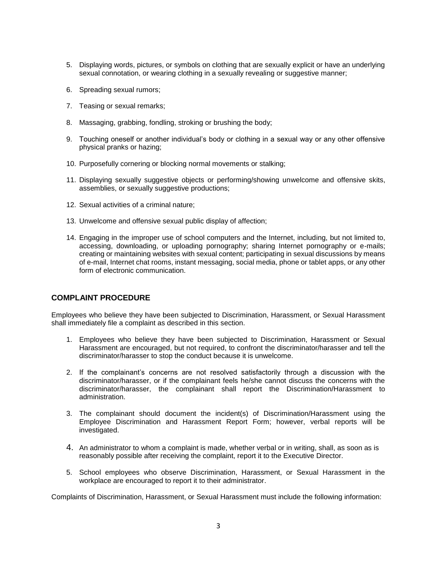- 5. Displaying words, pictures, or symbols on clothing that are sexually explicit or have an underlying sexual connotation, or wearing clothing in a sexually revealing or suggestive manner;
- 6. Spreading sexual rumors;
- 7. Teasing or sexual remarks;
- 8. Massaging, grabbing, fondling, stroking or brushing the body;
- 9. Touching oneself or another individual's body or clothing in a sexual way or any other offensive physical pranks or hazing;
- 10. Purposefully cornering or blocking normal movements or stalking;
- 11. Displaying sexually suggestive objects or performing/showing unwelcome and offensive skits, assemblies, or sexually suggestive productions;
- 12. Sexual activities of a criminal nature;
- 13. Unwelcome and offensive sexual public display of affection;
- 14. Engaging in the improper use of school computers and the Internet, including, but not limited to, accessing, downloading, or uploading pornography; sharing Internet pornography or e-mails; creating or maintaining websites with sexual content; participating in sexual discussions by means of e-mail, Internet chat rooms, instant messaging, social media, phone or tablet apps, or any other form of electronic communication.

#### **COMPLAINT PROCEDURE**

Employees who believe they have been subjected to Discrimination, Harassment, or Sexual Harassment shall immediately file a complaint as described in this section.

- 1. Employees who believe they have been subjected to Discrimination, Harassment or Sexual Harassment are encouraged, but not required, to confront the discriminator/harasser and tell the discriminator/harasser to stop the conduct because it is unwelcome.
- 2. If the complainant's concerns are not resolved satisfactorily through a discussion with the discriminator/harasser, or if the complainant feels he/she cannot discuss the concerns with the discriminator/harasser, the complainant shall report the Discrimination/Harassment to administration.
- 3. The complainant should document the incident(s) of Discrimination/Harassment using the Employee Discrimination and Harassment Report Form; however, verbal reports will be investigated.
- 4. An administrator to whom a complaint is made, whether verbal or in writing, shall, as soon as is reasonably possible after receiving the complaint, report it to the Executive Director.
- 5. School employees who observe Discrimination, Harassment, or Sexual Harassment in the workplace are encouraged to report it to their administrator.

Complaints of Discrimination, Harassment, or Sexual Harassment must include the following information: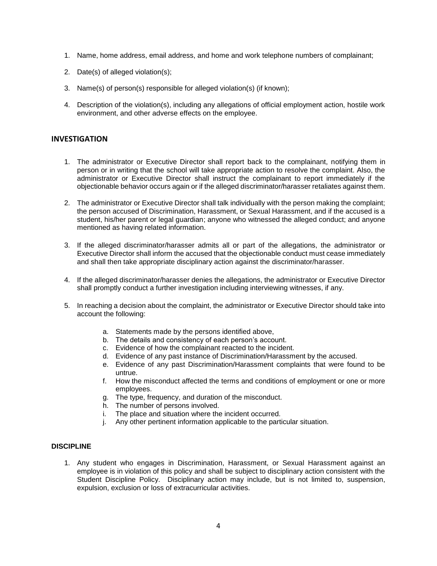- 1. Name, home address, email address, and home and work telephone numbers of complainant;
- 2. Date(s) of alleged violation(s);
- 3. Name(s) of person(s) responsible for alleged violation(s) (if known);
- 4. Description of the violation(s), including any allegations of official employment action, hostile work environment, and other adverse effects on the employee.

#### **INVESTIGATION**

- 1. The administrator or Executive Director shall report back to the complainant, notifying them in person or in writing that the school will take appropriate action to resolve the complaint. Also, the administrator or Executive Director shall instruct the complainant to report immediately if the objectionable behavior occurs again or if the alleged discriminator/harasser retaliates against them.
- 2. The administrator or Executive Director shall talk individually with the person making the complaint; the person accused of Discrimination, Harassment, or Sexual Harassment, and if the accused is a student, his/her parent or legal guardian; anyone who witnessed the alleged conduct; and anyone mentioned as having related information.
- 3. If the alleged discriminator/harasser admits all or part of the allegations, the administrator or Executive Director shall inform the accused that the objectionable conduct must cease immediately and shall then take appropriate disciplinary action against the discriminator/harasser.
- 4. If the alleged discriminator/harasser denies the allegations, the administrator or Executive Director shall promptly conduct a further investigation including interviewing witnesses, if any.
- 5. In reaching a decision about the complaint, the administrator or Executive Director should take into account the following:
	- a. Statements made by the persons identified above,
	- b. The details and consistency of each person's account.
	- c. Evidence of how the complainant reacted to the incident.
	- d. Evidence of any past instance of Discrimination/Harassment by the accused.
	- e. Evidence of any past Discrimination/Harassment complaints that were found to be untrue.
	- f. How the misconduct affected the terms and conditions of employment or one or more employees.
	- g. The type, frequency, and duration of the misconduct.
	- h. The number of persons involved.
	- i. The place and situation where the incident occurred.
	- j. Any other pertinent information applicable to the particular situation.

#### **DISCIPLINE**

1. Any student who engages in Discrimination, Harassment, or Sexual Harassment against an employee is in violation of this policy and shall be subject to disciplinary action consistent with the Student Discipline Policy. Disciplinary action may include, but is not limited to, suspension, expulsion, exclusion or loss of extracurricular activities.